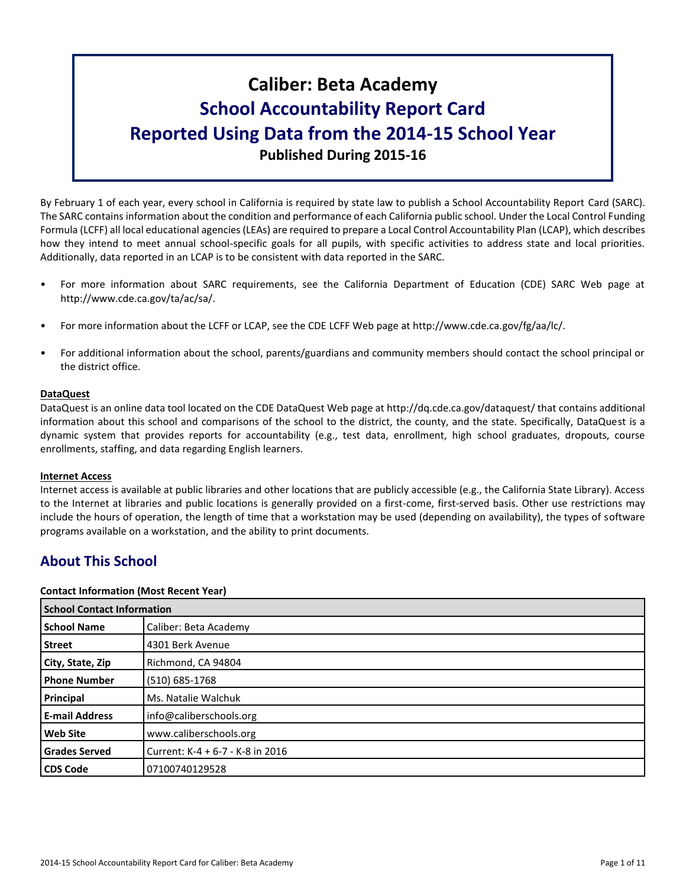# **Caliber: Beta Academy School Accountability Report Card Reported Using Data from the 2014-15 School Year Published During 2015-16**

By February 1 of each year, every school in California is required by state law to publish a School Accountability Report Card (SARC). The SARC contains information about the condition and performance of each California public school. Under the Local Control Funding Formula (LCFF) all local educational agencies (LEAs) are required to prepare a Local Control Accountability Plan (LCAP), which describes how they intend to meet annual school-specific goals for all pupils, with specific activities to address state and local priorities. Additionally, data reported in an LCAP is to be consistent with data reported in the SARC.

- For more information about SARC requirements, see the California Department of Education (CDE) SARC Web page at http://www.cde.ca.gov/ta/ac/sa/.
- For more information about the LCFF or LCAP, see the CDE LCFF Web page at http://www.cde.ca.gov/fg/aa/lc/.
- For additional information about the school, parents/guardians and community members should contact the school principal or the district office.

#### **DataQuest**

DataQuest is an online data tool located on the CDE DataQuest Web page at http://dq.cde.ca.gov/dataquest/ that contains additional information about this school and comparisons of the school to the district, the county, and the state. Specifically, DataQuest is a dynamic system that provides reports for accountability (e.g., test data, enrollment, high school graduates, dropouts, course enrollments, staffing, and data regarding English learners.

#### **Internet Access**

Internet access is available at public libraries and other locations that are publicly accessible (e.g., the California State Library). Access to the Internet at libraries and public locations is generally provided on a first-come, first-served basis. Other use restrictions may include the hours of operation, the length of time that a workstation may be used (depending on availability), the types of software programs available on a workstation, and the ability to print documents.

# **About This School**

#### **Contact Information (Most Recent Year)**

|                       | <b>School Contact Information</b> |  |  |  |  |
|-----------------------|-----------------------------------|--|--|--|--|
| <b>School Name</b>    | Caliber: Beta Academy             |  |  |  |  |
| <b>Street</b>         | 4301 Berk Avenue                  |  |  |  |  |
| City, State, Zip      | Richmond, CA 94804                |  |  |  |  |
| <b>Phone Number</b>   | (510) 685-1768                    |  |  |  |  |
| Principal             | Ms. Natalie Walchuk               |  |  |  |  |
| <b>E-mail Address</b> | info@caliberschools.org           |  |  |  |  |
| <b>Web Site</b>       | www.caliberschools.org            |  |  |  |  |
| <b>Grades Served</b>  | Current: K-4 + 6-7 - K-8 in 2016  |  |  |  |  |
| <b>CDS Code</b>       | 07100740129528                    |  |  |  |  |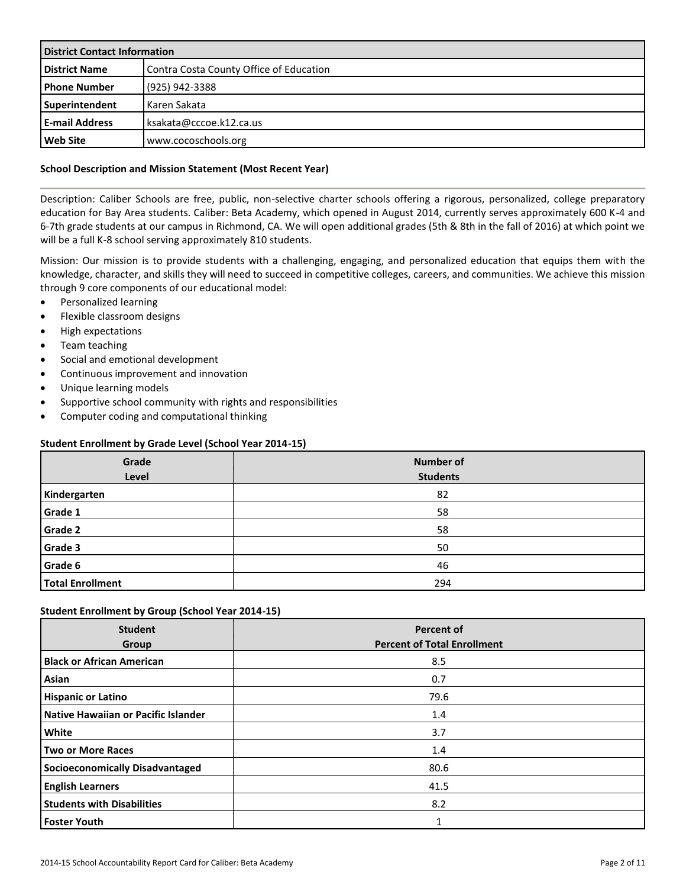| <b>District Contact Information</b> |                                         |  |  |  |
|-------------------------------------|-----------------------------------------|--|--|--|
| <b>District Name</b>                | Contra Costa County Office of Education |  |  |  |
| <b>Phone Number</b>                 | (925) 942-3388                          |  |  |  |
| Superintendent                      | Karen Sakata                            |  |  |  |
| <b>E-mail Address</b>               | ksakata@cccoe.k12.ca.us                 |  |  |  |
| <b>Web Site</b>                     | www.cocoschools.org                     |  |  |  |

#### **School Description and Mission Statement (Most Recent Year)**

Description: Caliber Schools are free, public, non-selective charter schools offering a rigorous, personalized, college preparatory education for Bay Area students. Caliber: Beta Academy, which opened in August 2014, currently serves approximately 600 K-4 and 6-7th grade students at our campus in Richmond, CA. We will open additional grades (5th & 8th in the fall of 2016) at which point we will be a full K-8 school serving approximately 810 students.

Mission: Our mission is to provide students with a challenging, engaging, and personalized education that equips them with the knowledge, character, and skills they will need to succeed in competitive colleges, careers, and communities. We achieve this mission through 9 core components of our educational model:

- Personalized learning
- Flexible classroom designs
- High expectations
- Team teaching
- **Social and emotional development**
- Continuous improvement and innovation
- Unique learning models
- Supportive school community with rights and responsibilities
- Computer coding and computational thinking

#### **Student Enrollment by Grade Level (School Year 2014-15)**

| Grade<br>Level          | <b>Number of</b><br><b>Students</b> |
|-------------------------|-------------------------------------|
| Kindergarten            | 82                                  |
| Grade 1                 | 58                                  |
| Grade 2                 | 58                                  |
| Grade 3                 | 50                                  |
| Grade 6                 | 46                                  |
| <b>Total Enrollment</b> | 294                                 |

#### **Student Enrollment by Group (School Year 2014-15)**

| <b>Student</b><br>Group                | <b>Percent of</b><br><b>Percent of Total Enrollment</b> |
|----------------------------------------|---------------------------------------------------------|
| <b>Black or African American</b>       | 8.5                                                     |
| Asian                                  | 0.7                                                     |
| <b>Hispanic or Latino</b>              | 79.6                                                    |
| Native Hawaiian or Pacific Islander    | 1.4                                                     |
| White                                  | 3.7                                                     |
| <b>Two or More Races</b>               | 1.4                                                     |
| <b>Socioeconomically Disadvantaged</b> | 80.6                                                    |
| <b>English Learners</b>                | 41.5                                                    |
| <b>Students with Disabilities</b>      | 8.2                                                     |
| <b>Foster Youth</b>                    |                                                         |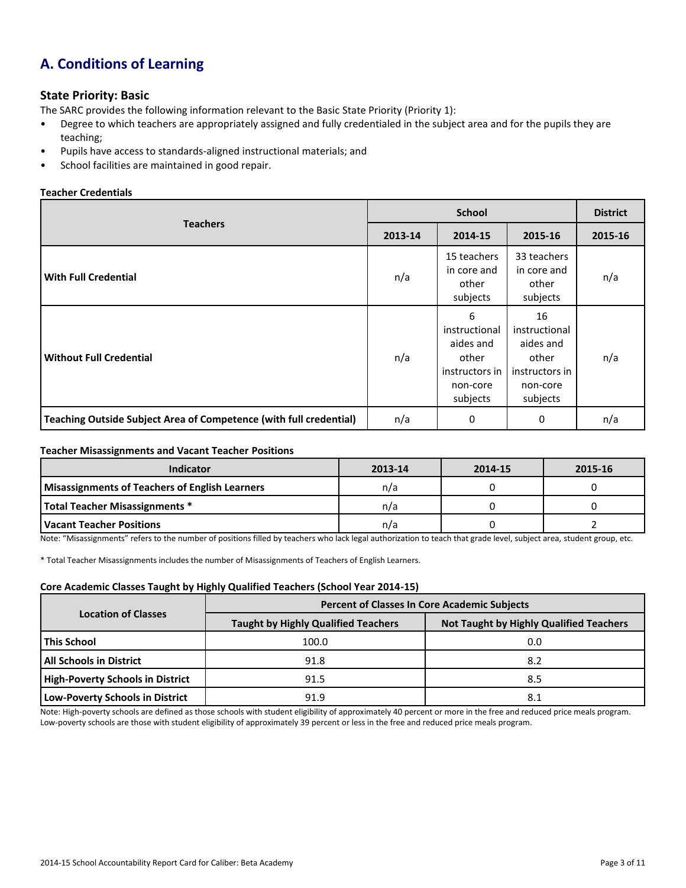# **A. Conditions of Learning**

#### **State Priority: Basic**

The SARC provides the following information relevant to the Basic State Priority (Priority 1):

- Degree to which teachers are appropriately assigned and fully credentialed in the subject area and for the pupils they are teaching;
- Pupils have access to standards-aligned instructional materials; and
- School facilities are maintained in good repair.

#### **Teacher Credentials**

|                                                                    |         | <b>District</b>                                                                    |                                                                                     |         |
|--------------------------------------------------------------------|---------|------------------------------------------------------------------------------------|-------------------------------------------------------------------------------------|---------|
| <b>Teachers</b>                                                    | 2013-14 | 2014-15                                                                            | 2015-16                                                                             | 2015-16 |
| <b>With Full Credential</b>                                        | n/a     | 15 teachers<br>in core and<br>other<br>subjects                                    | 33 teachers<br>in core and<br>other<br>subjects                                     | n/a     |
| <b>Without Full Credential</b>                                     | n/a     | 6<br>instructional<br>aides and<br>other<br>instructors in<br>non-core<br>subjects | 16<br>instructional<br>aides and<br>other<br>instructors in<br>non-core<br>subjects | n/a     |
| Teaching Outside Subject Area of Competence (with full credential) | n/a     | 0                                                                                  | 0                                                                                   | n/a     |

#### **Teacher Misassignments and Vacant Teacher Positions**

| <b>Indicator</b>                                      | 2013-14 | 2014-15 | 2015-16 |
|-------------------------------------------------------|---------|---------|---------|
| <b>Misassignments of Teachers of English Learners</b> | n/a     |         |         |
| <b>Total Teacher Misassignments *</b>                 | n/a     |         |         |
| Vacant Teacher Positions                              | n/a     |         |         |

Note: "Misassignments" refers to the number of positions filled by teachers who lack legal authorization to teach that grade level, subject area, student group, etc.

\* Total Teacher Misassignments includes the number of Misassignments of Teachers of English Learners.

#### **Core Academic Classes Taught by Highly Qualified Teachers (School Year 2014-15)**

|                                         | <b>Percent of Classes In Core Academic Subjects</b> |                                                |  |  |  |  |
|-----------------------------------------|-----------------------------------------------------|------------------------------------------------|--|--|--|--|
| <b>Location of Classes</b>              | <b>Taught by Highly Qualified Teachers</b>          | <b>Not Taught by Highly Qualified Teachers</b> |  |  |  |  |
| This School                             | 100.0                                               | 0.0                                            |  |  |  |  |
| <b>All Schools in District</b>          | 91.8                                                | 8.2                                            |  |  |  |  |
| <b>High-Poverty Schools in District</b> | 91.5                                                | 8.5                                            |  |  |  |  |
| Low-Poverty Schools in District         | 91.9                                                | 8.1                                            |  |  |  |  |

Note: High-poverty schools are defined as those schools with student eligibility of approximately 40 percent or more in the free and reduced price meals program. Low-poverty schools are those with student eligibility of approximately 39 percent or less in the free and reduced price meals program.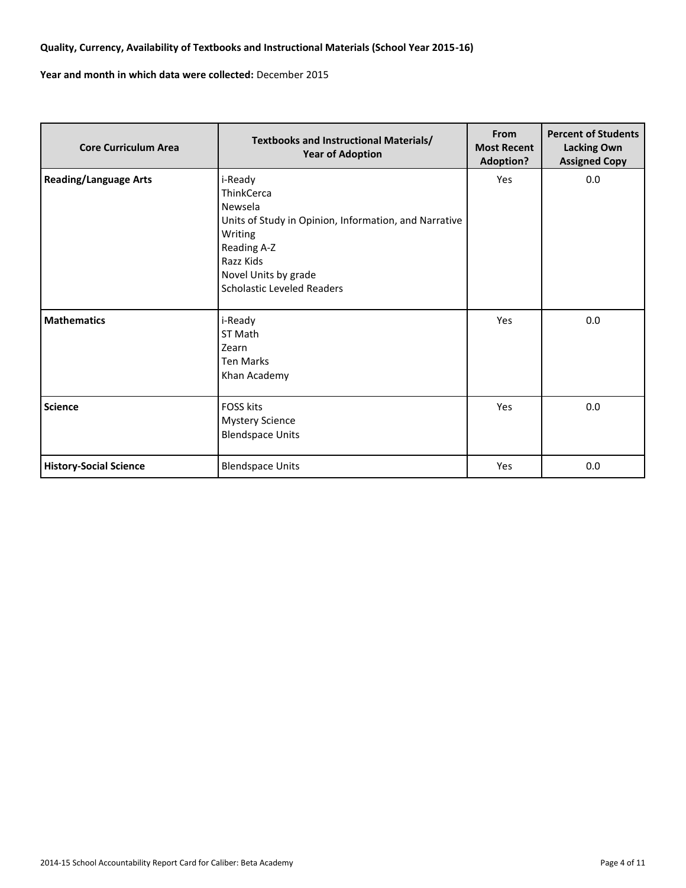### **Quality, Currency, Availability of Textbooks and Instructional Materials (School Year 2015-16)**

**Year and month in which data were collected:** December 2015

| <b>Core Curriculum Area</b>   | <b>Textbooks and Instructional Materials/</b><br><b>Year of Adoption</b>                                                                                                                             | From<br><b>Most Recent</b><br><b>Adoption?</b> | <b>Percent of Students</b><br><b>Lacking Own</b><br><b>Assigned Copy</b> |  |
|-------------------------------|------------------------------------------------------------------------------------------------------------------------------------------------------------------------------------------------------|------------------------------------------------|--------------------------------------------------------------------------|--|
| <b>Reading/Language Arts</b>  | i-Ready<br><b>ThinkCerca</b><br>Newsela<br>Units of Study in Opinion, Information, and Narrative<br>Writing<br>Reading A-Z<br>Razz Kids<br>Novel Units by grade<br><b>Scholastic Leveled Readers</b> | Yes                                            | 0.0                                                                      |  |
| <b>Mathematics</b>            | i-Ready<br>ST Math<br>Zearn<br><b>Ten Marks</b><br>Khan Academy                                                                                                                                      | Yes                                            | 0.0                                                                      |  |
| <b>Science</b>                | <b>FOSS kits</b><br><b>Mystery Science</b><br><b>Blendspace Units</b>                                                                                                                                | Yes                                            | 0.0                                                                      |  |
| <b>History-Social Science</b> | <b>Blendspace Units</b>                                                                                                                                                                              | Yes                                            | 0.0                                                                      |  |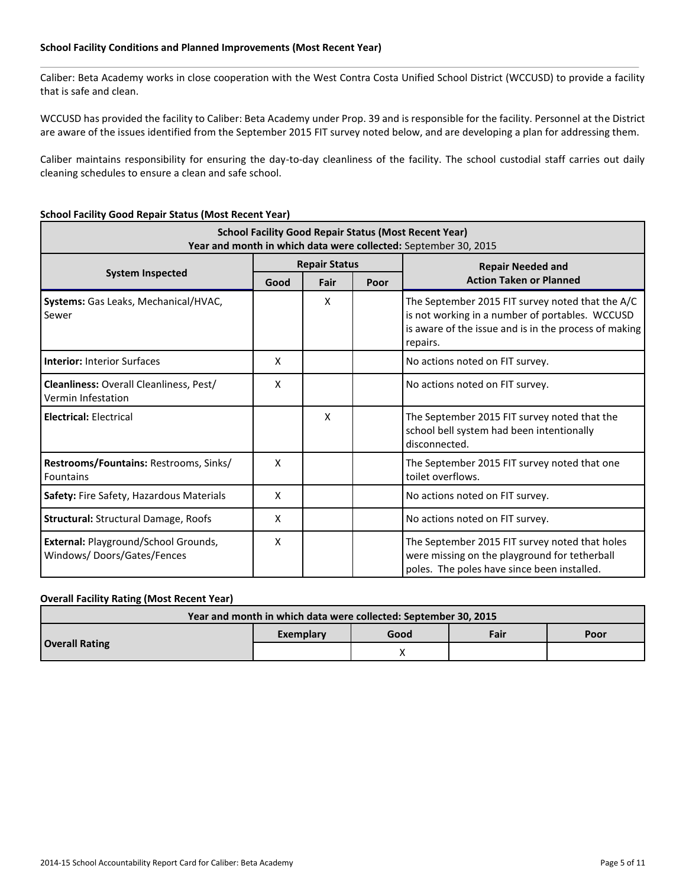#### **School Facility Conditions and Planned Improvements (Most Recent Year)**

Caliber: Beta Academy works in close cooperation with the West Contra Costa Unified School District (WCCUSD) to provide a facility that is safe and clean.

WCCUSD has provided the facility to Caliber: Beta Academy under Prop. 39 and is responsible for the facility. Personnel at the District are aware of the issues identified from the September 2015 FIT survey noted below, and are developing a plan for addressing them.

Caliber maintains responsibility for ensuring the day-to-day cleanliness of the facility. The school custodial staff carries out daily cleaning schedules to ensure a clean and safe school.

#### **School Facility Good Repair Status (Most Recent Year)**

| <b>School Facility Good Repair Status (Most Recent Year)</b><br>Year and month in which data were collected: September 30, 2015 |                           |                      |      |                                                                                                                                                                          |  |  |  |
|---------------------------------------------------------------------------------------------------------------------------------|---------------------------|----------------------|------|--------------------------------------------------------------------------------------------------------------------------------------------------------------------------|--|--|--|
|                                                                                                                                 |                           | <b>Repair Status</b> |      | <b>Repair Needed and</b>                                                                                                                                                 |  |  |  |
| <b>System Inspected</b>                                                                                                         | Fair<br>Good              |                      | Poor | <b>Action Taken or Planned</b>                                                                                                                                           |  |  |  |
| Systems: Gas Leaks, Mechanical/HVAC,<br>Sewer                                                                                   |                           | X                    |      | The September 2015 FIT survey noted that the A/C<br>is not working in a number of portables. WCCUSD<br>is aware of the issue and is in the process of making<br>repairs. |  |  |  |
| <b>Interior: Interior Surfaces</b>                                                                                              | X                         |                      |      | No actions noted on FIT survey.                                                                                                                                          |  |  |  |
| Cleanliness: Overall Cleanliness, Pest/<br>Vermin Infestation                                                                   | X                         |                      |      | No actions noted on FIT survey.                                                                                                                                          |  |  |  |
| <b>Electrical: Electrical</b>                                                                                                   |                           | X                    |      | The September 2015 FIT survey noted that the<br>school bell system had been intentionally<br>disconnected.                                                               |  |  |  |
| Restrooms/Fountains: Restrooms, Sinks/<br>Fountains                                                                             | X                         |                      |      | The September 2015 FIT survey noted that one<br>toilet overflows.                                                                                                        |  |  |  |
| Safety: Fire Safety, Hazardous Materials                                                                                        | X                         |                      |      | No actions noted on FIT survey.                                                                                                                                          |  |  |  |
| <b>Structural: Structural Damage, Roofs</b>                                                                                     | X                         |                      |      | No actions noted on FIT survey.                                                                                                                                          |  |  |  |
| External: Playground/School Grounds,<br>Windows/Doors/Gates/Fences                                                              | $\boldsymbol{\mathsf{x}}$ |                      |      | The September 2015 FIT survey noted that holes<br>were missing on the playground for tetherball<br>poles. The poles have since been installed.                           |  |  |  |

#### **Overall Facility Rating (Most Recent Year)**

| Year and month in which data were collected: September 30, 2015 |           |      |      |      |  |  |  |
|-----------------------------------------------------------------|-----------|------|------|------|--|--|--|
|                                                                 | Exemplary | Good | Fair | Poor |  |  |  |
| <b>Overall Rating</b>                                           |           |      |      |      |  |  |  |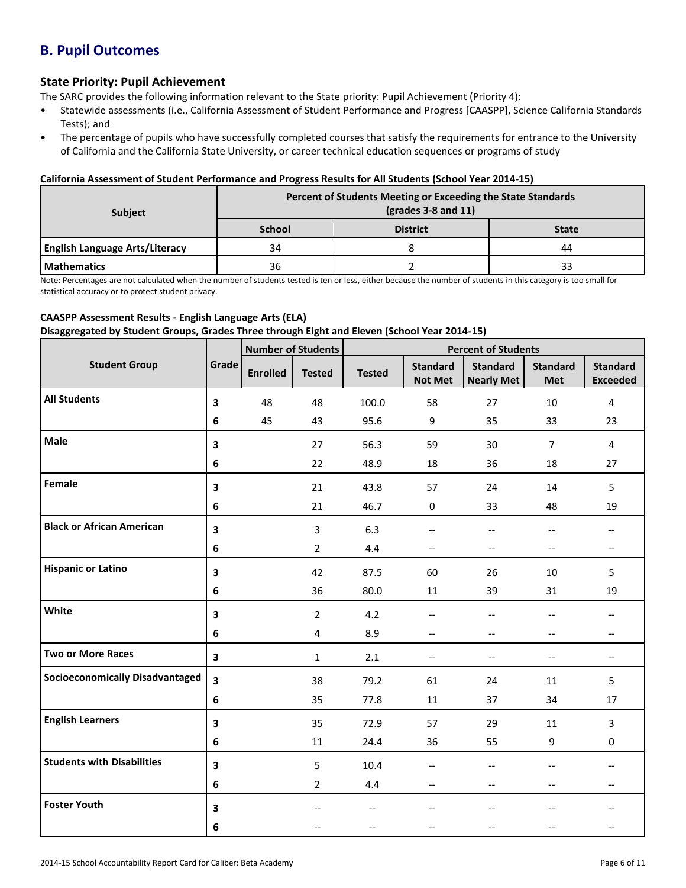# **B. Pupil Outcomes**

### **State Priority: Pupil Achievement**

The SARC provides the following information relevant to the State priority: Pupil Achievement (Priority 4):

- Statewide assessments (i.e., California Assessment of Student Performance and Progress [CAASPP], Science California Standards Tests); and
- The percentage of pupils who have successfully completed courses that satisfy the requirements for entrance to the University of California and the California State University, or career technical education sequences or programs of study

#### **California Assessment of Student Performance and Progress Results for All Students (School Year 2014-15)**

| <b>Subject</b>                        | Percent of Students Meeting or Exceeding the State Standards<br>$\left(\text{grades }3 - 8 \text{ and } 11\right)$ |                 |              |  |  |
|---------------------------------------|--------------------------------------------------------------------------------------------------------------------|-----------------|--------------|--|--|
|                                       | <b>School</b>                                                                                                      | <b>District</b> | <b>State</b> |  |  |
| <b>English Language Arts/Literacy</b> | 34                                                                                                                 |                 | 44           |  |  |
| <b>Mathematics</b>                    | 36                                                                                                                 |                 |              |  |  |

Note: Percentages are not calculated when the number of students tested is ten or less, either because the number of students in this category is too small for statistical accuracy or to protect student privacy.

#### **CAASPP Assessment Results - English Language Arts (ELA) Disaggregated by Student Groups, Grades Three through Eight and Eleven (School Year 2014-15)**

|                                        |                         | <b>Number of Students</b> |                | <b>Percent of Students</b> |                                       |                                      |                               |                                    |
|----------------------------------------|-------------------------|---------------------------|----------------|----------------------------|---------------------------------------|--------------------------------------|-------------------------------|------------------------------------|
| <b>Student Group</b>                   | Grade                   | <b>Enrolled</b>           | <b>Tested</b>  | <b>Tested</b>              | <b>Standard</b><br><b>Not Met</b>     | <b>Standard</b><br><b>Nearly Met</b> | <b>Standard</b><br><b>Met</b> | <b>Standard</b><br><b>Exceeded</b> |
| <b>All Students</b>                    | $\overline{\mathbf{3}}$ | 48                        | 48             | 100.0                      | 58                                    | 27                                   | 10                            | $\overline{4}$                     |
|                                        | 6                       | 45                        | 43             | 95.6                       | 9                                     | 35                                   | 33                            | 23                                 |
| Male                                   | 3                       |                           | 27             | 56.3                       | 59                                    | 30                                   | $\overline{7}$                | 4                                  |
|                                        | 6                       |                           | 22             | 48.9                       | 18                                    | 36                                   | 18                            | 27                                 |
| Female                                 | 3                       |                           | 21             | 43.8                       | 57                                    | 24                                   | 14                            | 5                                  |
|                                        | 6                       |                           | 21             | 46.7                       | 0                                     | 33                                   | 48                            | 19                                 |
| <b>Black or African American</b>       | 3                       |                           | $\overline{3}$ | 6.3                        | $\overline{\phantom{a}}$              | $\overline{\phantom{a}}$             | $-$                           |                                    |
|                                        | 6                       |                           | $\overline{2}$ | 4.4                        | $\qquad \qquad -$                     | $\hspace{0.05cm} \ldots$             | $-$                           | $\overline{\phantom{a}}$           |
| <b>Hispanic or Latino</b>              | 3                       |                           | 42             | 87.5                       | 60                                    | 26                                   | 10                            | 5                                  |
|                                        | 6                       |                           | 36             | 80.0                       | 11                                    | 39                                   | 31                            | 19                                 |
| White                                  | 3                       |                           | $\overline{2}$ | 4.2                        | $\hspace{0.05cm}$ – $\hspace{0.05cm}$ | $\overline{\phantom{a}}$             | $\overline{\phantom{a}}$      |                                    |
|                                        | 6                       |                           | 4              | 8.9                        | --                                    | $-\!$                                | --                            | --                                 |
| <b>Two or More Races</b>               | $\overline{\mathbf{3}}$ |                           | $\mathbf{1}$   | 2.1                        | $\overline{\phantom{a}}$              | $-$                                  | $\overline{\phantom{a}}$      | $-$                                |
| <b>Socioeconomically Disadvantaged</b> | 3                       |                           | 38             | 79.2                       | 61                                    | 24                                   | 11                            | 5                                  |
|                                        | 6                       |                           | 35             | 77.8                       | 11                                    | 37                                   | 34                            | 17                                 |
| <b>English Learners</b>                | 3                       |                           | 35             | 72.9                       | 57                                    | 29                                   | 11                            | $\overline{3}$                     |
|                                        | 6                       |                           | 11             | 24.4                       | 36                                    | 55                                   | 9                             | $\mathbf 0$                        |
| <b>Students with Disabilities</b>      | 3                       |                           | 5              | 10.4                       | --                                    | $\overline{\phantom{a}}$             | --                            | $\overline{\phantom{a}}$           |
|                                        | 6                       |                           | $\overline{2}$ | 4.4                        | $-$                                   | $\overline{\phantom{a}}$             | $-$                           | $-$                                |
| <b>Foster Youth</b>                    | 3                       |                           | $-$            | $\overline{\phantom{a}}$   | $-$                                   | $-$                                  | $-$                           |                                    |
|                                        | 6                       |                           |                | $-$                        | $-$                                   |                                      |                               |                                    |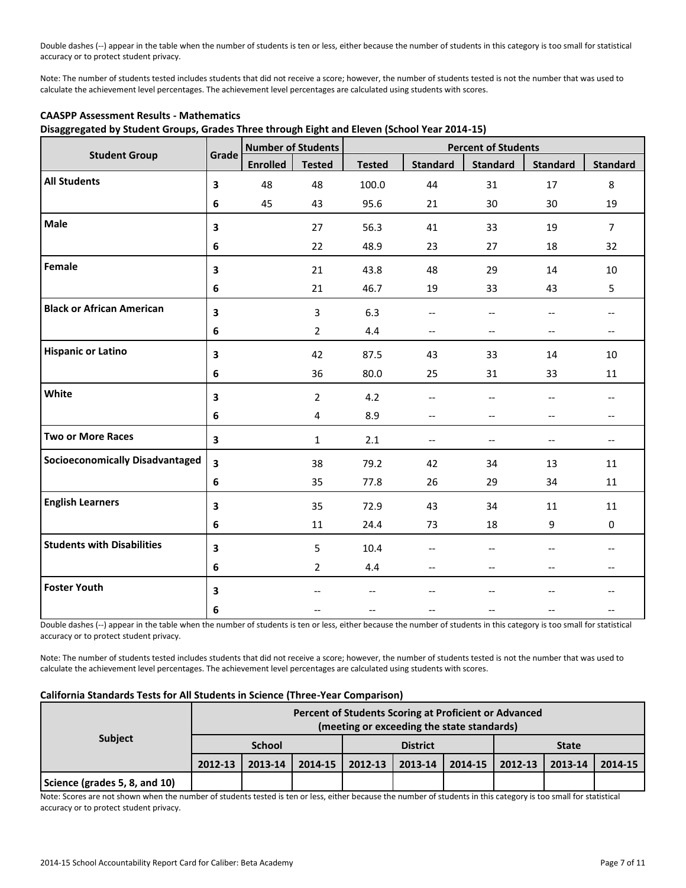Double dashes (--) appear in the table when the number of students is ten or less, either because the number of students in this category is too small for statistical accuracy or to protect student privacy.

Note: The number of students tested includes students that did not receive a score; however, the number of students tested is not the number that was used to calculate the achievement level percentages. The achievement level percentages are calculated using students with scores.

|                                        |                         | <b>Number of Students</b> |                | <b>Percent of Students</b> |                               |                                                     |                          |                 |
|----------------------------------------|-------------------------|---------------------------|----------------|----------------------------|-------------------------------|-----------------------------------------------------|--------------------------|-----------------|
| <b>Student Group</b>                   | Grade                   | <b>Enrolled</b>           | <b>Tested</b>  | <b>Tested</b>              | <b>Standard</b>               | <b>Standard</b>                                     | <b>Standard</b>          | <b>Standard</b> |
| <b>All Students</b>                    | 3                       | 48                        | 48             | 100.0                      | 44                            | 31                                                  | 17                       | 8               |
|                                        | 6                       | 45                        | 43             | 95.6                       | 21                            | 30                                                  | 30                       | 19              |
| Male                                   | 3                       |                           | 27             | 56.3                       | 41                            | 33                                                  | 19                       | $\overline{7}$  |
|                                        | 6                       |                           | 22             | 48.9                       | 23                            | 27                                                  | 18                       | 32              |
| Female                                 | 3                       |                           | 21             | 43.8                       | 48                            | 29                                                  | 14                       | 10              |
|                                        | 6                       |                           | 21             | 46.7                       | 19                            | 33                                                  | 43                       | 5               |
| <b>Black or African American</b>       | 3                       |                           | 3              | 6.3                        | $-\, -$                       | $-$                                                 | --                       |                 |
|                                        | 6                       |                           | $\overline{2}$ | 4.4                        | $\hspace{0.05cm} \textbf{--}$ | $-$                                                 | --                       | $-$             |
| <b>Hispanic or Latino</b>              | 3                       |                           | 42             | 87.5                       | 43                            | 33                                                  | 14                       | 10              |
|                                        | 6                       |                           | 36             | 80.0                       | 25                            | 31                                                  | 33                       | 11              |
| White                                  | 3                       |                           | $\overline{2}$ | 4.2                        | $\hspace{0.05cm} \textbf{--}$ | $-$                                                 | $-$                      | $-$             |
|                                        | 6                       |                           | 4              | 8.9                        | $-\!$                         | $-$                                                 | $\overline{\phantom{a}}$ | --              |
| <b>Two or More Races</b>               | $\mathbf{3}$            |                           | $\mathbf{1}$   | 2.1                        | $-\!$ –                       | $\hspace{0.05cm} -\hspace{0.05cm} -\hspace{0.05cm}$ | --                       | --              |
| <b>Socioeconomically Disadvantaged</b> | $\overline{\mathbf{3}}$ |                           | 38             | 79.2                       | 42                            | 34                                                  | 13                       | 11              |
|                                        | 6                       |                           | 35             | 77.8                       | 26                            | 29                                                  | 34                       | 11              |
| <b>English Learners</b>                | 3                       |                           | 35             | 72.9                       | 43                            | 34                                                  | 11                       | 11              |
|                                        | 6                       |                           | 11             | 24.4                       | 73                            | 18                                                  | 9                        | $\mathbf 0$     |
| <b>Students with Disabilities</b>      | 3                       |                           | 5              | 10.4                       | --                            | --                                                  |                          |                 |
|                                        | 6                       |                           | $\overline{2}$ | 4.4                        | $-\, -$                       |                                                     | --                       | --              |
| <b>Foster Youth</b>                    | $\overline{\mathbf{3}}$ |                           |                |                            |                               |                                                     |                          |                 |
|                                        | 6                       |                           |                |                            |                               |                                                     |                          |                 |

#### **CAASPP Assessment Results - Mathematics**

**Disaggregated by Student Groups, Grades Three through Eight and Eleven (School Year 2014-15)**

Double dashes (--) appear in the table when the number of students is ten or less, either because the number of students in this category is too small for statistical accuracy or to protect student privacy.

Note: The number of students tested includes students that did not receive a score; however, the number of students tested is not the number that was used to calculate the achievement level percentages. The achievement level percentages are calculated using students with scores.

#### **California Standards Tests for All Students in Science (Three-Year Comparison)**

|                               | Percent of Students Scoring at Proficient or Advanced<br>(meeting or exceeding the state standards) |               |         |                 |         |         |              |         |         |
|-------------------------------|-----------------------------------------------------------------------------------------------------|---------------|---------|-----------------|---------|---------|--------------|---------|---------|
| <b>Subject</b>                |                                                                                                     | <b>School</b> |         | <b>District</b> |         |         | <b>State</b> |         |         |
|                               | 2012-13                                                                                             | 2013-14       | 2014-15 | 2012-13         | 2013-14 | 2014-15 | 2012-13      | 2013-14 | 2014-15 |
| Science (grades 5, 8, and 10) |                                                                                                     |               |         |                 |         |         |              |         |         |

Note: Scores are not shown when the number of students tested is ten or less, either because the number of students in this category is too small for statistical accuracy or to protect student privacy.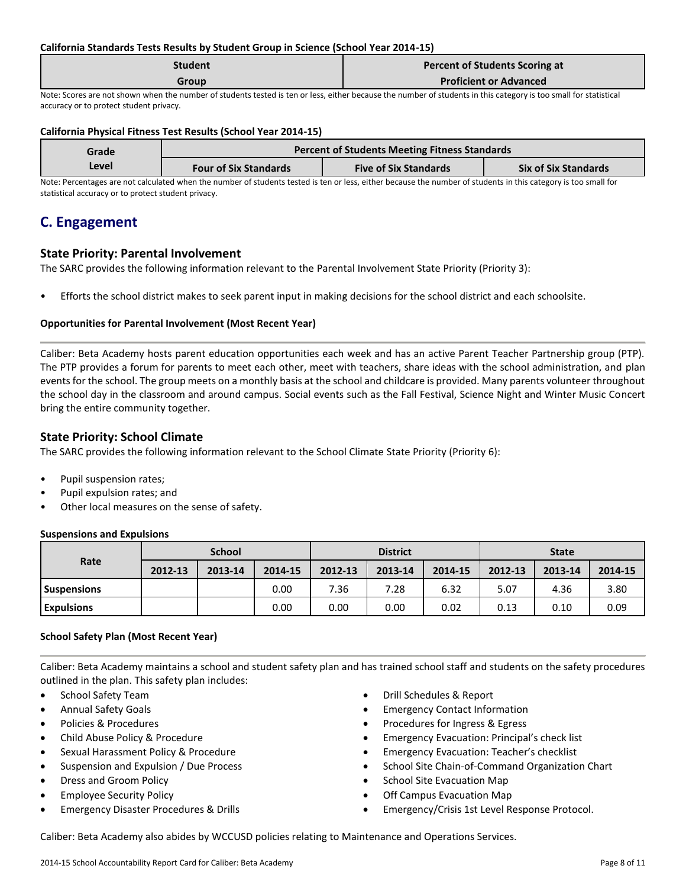#### **California Standards Tests Results by Student Group in Science (School Year 2014-15)**

| <b>Student</b> | <b>Percent of Students Scoring at</b> |
|----------------|---------------------------------------|
| Group          | <b>Proficient or Advanced</b>         |

Note: Scores are not shown when the number of students tested is ten or less, either because the number of students in this category is too small for statistical accuracy or to protect student privacy.

#### **California Physical Fitness Test Results (School Year 2014-15)**

| Grade                                                                                                                                                           | <b>Percent of Students Meeting Fitness Standards</b> |                              |                             |  |  |  |
|-----------------------------------------------------------------------------------------------------------------------------------------------------------------|------------------------------------------------------|------------------------------|-----------------------------|--|--|--|
| Level                                                                                                                                                           | <b>Four of Six Standards</b>                         | <b>Five of Six Standards</b> | <b>Six of Six Standards</b> |  |  |  |
| Note: Percentages are not calculated when the number of students tested is ten or less, either because the number of students in this category is too small for |                                                      |                              |                             |  |  |  |

statistical accuracy or to protect student privacy.

# **C. Engagement**

#### **State Priority: Parental Involvement**

The SARC provides the following information relevant to the Parental Involvement State Priority (Priority 3):

• Efforts the school district makes to seek parent input in making decisions for the school district and each schoolsite.

#### **Opportunities for Parental Involvement (Most Recent Year)**

Caliber: Beta Academy hosts parent education opportunities each week and has an active Parent Teacher Partnership group (PTP). The PTP provides a forum for parents to meet each other, meet with teachers, share ideas with the school administration, and plan events for the school. The group meets on a monthly basis at the school and childcare is provided. Many parents volunteer throughout the school day in the classroom and around campus. Social events such as the Fall Festival, Science Night and Winter Music Concert bring the entire community together.

### **State Priority: School Climate**

The SARC provides the following information relevant to the School Climate State Priority (Priority 6):

- Pupil suspension rates;
- Pupil expulsion rates; and
- Other local measures on the sense of safety.

#### **Suspensions and Expulsions**

|                    | <b>School</b> |         |         | <b>District</b> |         |         | <b>State</b> |         |         |
|--------------------|---------------|---------|---------|-----------------|---------|---------|--------------|---------|---------|
| Rate               | 2012-13       | 2013-14 | 2014-15 | 2012-13         | 2013-14 | 2014-15 | 2012-13      | 2013-14 | 2014-15 |
| <b>Suspensions</b> |               |         | 0.00    | 7.36            | 7.28    | 6.32    | 5.07         | 4.36    | 3.80    |
| <b>Expulsions</b>  |               |         | 0.00    | 0.00            | 0.00    | 0.02    | 0.13         | 0.10    | 0.09    |

#### **School Safety Plan (Most Recent Year)**

Caliber: Beta Academy maintains a school and student safety plan and has trained school staff and students on the safety procedures outlined in the plan. This safety plan includes:

- School Safety Team
- Annual Safety Goals
- Policies & Procedures
- Child Abuse Policy & Procedure
- Sexual Harassment Policy & Procedure
- Suspension and Expulsion / Due Process
- Dress and Groom Policy
- Employee Security Policy
- **•** Emergency Disaster Procedures & Drills
- Drill Schedules & Report
- Emergency Contact Information
- Procedures for Ingress & Egress
- Emergency Evacuation: Principal's check list
- Emergency Evacuation: Teacher's checklist
- School Site Chain-of-Command Organization Chart
- School Site Evacuation Map
- Off Campus Evacuation Map
- Emergency/Crisis 1st Level Response Protocol.

Caliber: Beta Academy also abides by WCCUSD policies relating to Maintenance and Operations Services.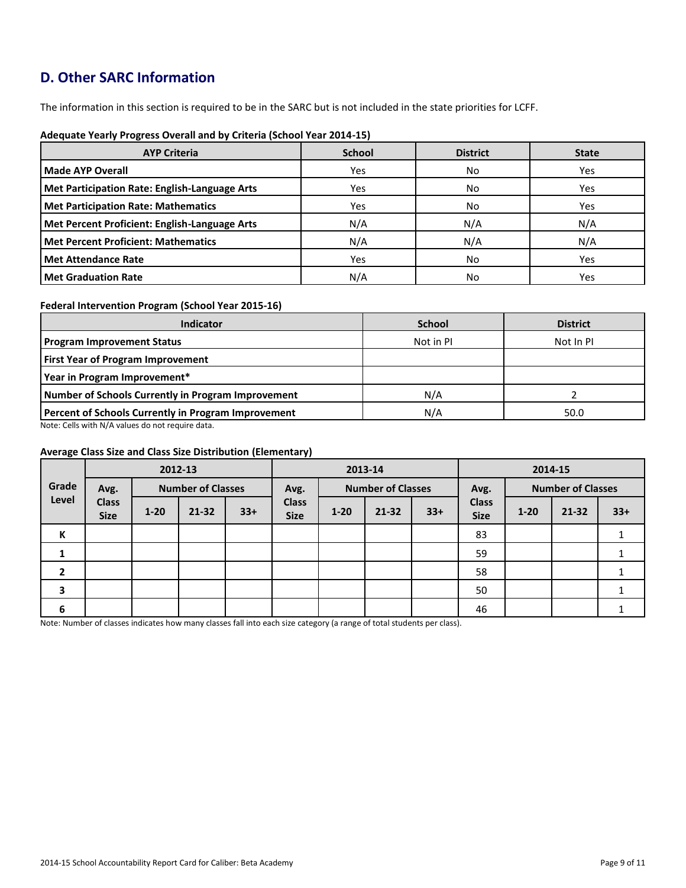# **D. Other SARC Information**

The information in this section is required to be in the SARC but is not included in the state priorities for LCFF.

| <b>AYP Criteria</b>                           | <b>School</b> | <b>District</b> | <b>State</b> |
|-----------------------------------------------|---------------|-----------------|--------------|
| Made AYP Overall                              | Yes           | No              | Yes          |
| Met Participation Rate: English-Language Arts | Yes           | No              | Yes          |
| Met Participation Rate: Mathematics           | Yes           | No              | Yes          |
| Met Percent Proficient: English-Language Arts | N/A           | N/A             | N/A          |
| Met Percent Proficient: Mathematics           | N/A           | N/A             | N/A          |
| Met Attendance Rate                           | Yes           | No              | Yes          |
| <b>Met Graduation Rate</b>                    | N/A           | No              | Yes          |

#### **Adequate Yearly Progress Overall and by Criteria (School Year 2014-15)**

#### **Federal Intervention Program (School Year 2015-16)**

| <b>Indicator</b>                                    | <b>School</b> | <b>District</b> |
|-----------------------------------------------------|---------------|-----------------|
| <b>Program Improvement Status</b>                   | Not in PI     | Not In PI       |
| <b>First Year of Program Improvement</b>            |               |                 |
| Year in Program Improvement*                        |               |                 |
| Number of Schools Currently in Program Improvement  | N/A           |                 |
| Percent of Schools Currently in Program Improvement | N/A           | 50.0            |

Note: Cells with N/A values do not require data.

#### **Average Class Size and Class Size Distribution (Elementary)**

|                         |                             |          | 2012-13                  |       | 2013-14                     |          |                          |       | 2014-15                     |          |                          |       |
|-------------------------|-----------------------------|----------|--------------------------|-------|-----------------------------|----------|--------------------------|-------|-----------------------------|----------|--------------------------|-------|
| Grade                   | Avg.                        |          | <b>Number of Classes</b> |       | Avg.                        |          | <b>Number of Classes</b> |       | Avg.                        |          | <b>Number of Classes</b> |       |
| Level                   | <b>Class</b><br><b>Size</b> | $1 - 20$ | $21 - 32$                | $33+$ | <b>Class</b><br><b>Size</b> | $1 - 20$ | $21 - 32$                | $33+$ | <b>Class</b><br><b>Size</b> | $1 - 20$ | $21 - 32$                | $33+$ |
| К                       |                             |          |                          |       |                             |          |                          |       | 83                          |          |                          |       |
|                         |                             |          |                          |       |                             |          |                          |       | 59                          |          |                          |       |
| $\overline{2}$          |                             |          |                          |       |                             |          |                          |       | 58                          |          |                          |       |
| $\overline{\mathbf{3}}$ |                             |          |                          |       |                             |          |                          |       | 50                          |          |                          |       |
| 6                       |                             |          |                          |       |                             |          |                          |       | 46                          |          |                          |       |

Note: Number of classes indicates how many classes fall into each size category (a range of total students per class).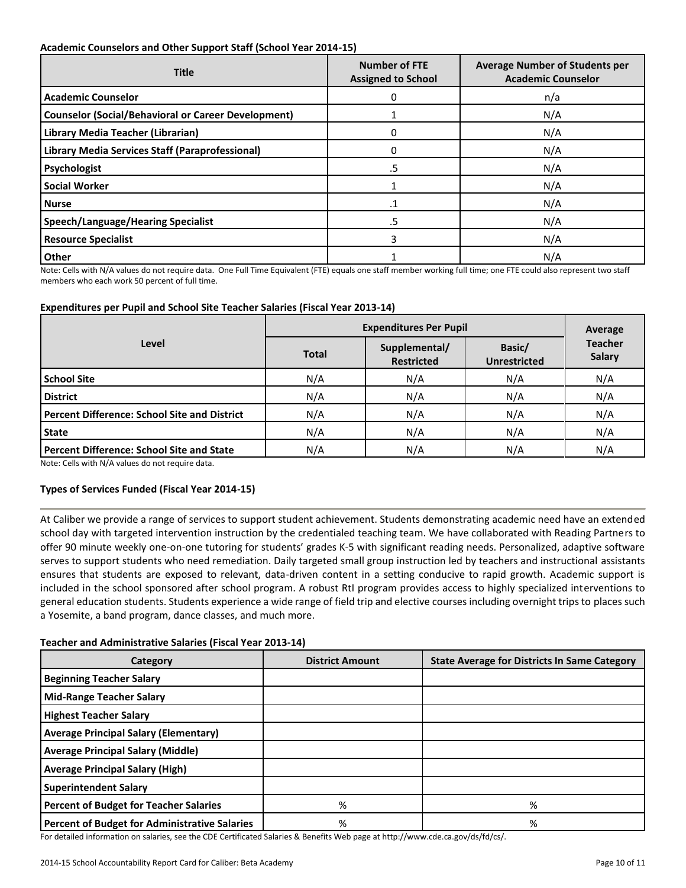#### **Academic Counselors and Other Support Staff (School Year 2014-15)**

| <b>Title</b>                                               | <b>Number of FTE</b><br><b>Assigned to School</b> | <b>Average Number of Students per</b><br><b>Academic Counselor</b> |
|------------------------------------------------------------|---------------------------------------------------|--------------------------------------------------------------------|
| <b>Academic Counselor</b>                                  | 0                                                 | n/a                                                                |
| <b>Counselor (Social/Behavioral or Career Development)</b> |                                                   | N/A                                                                |
| Library Media Teacher (Librarian)                          | 0                                                 | N/A                                                                |
| Library Media Services Staff (Paraprofessional)            | 0                                                 | N/A                                                                |
| Psychologist                                               | .5                                                | N/A                                                                |
| <b>Social Worker</b>                                       |                                                   | N/A                                                                |
| <b>Nurse</b>                                               | $\cdot$ 1                                         | N/A                                                                |
| <b>Speech/Language/Hearing Specialist</b>                  | .5                                                | N/A                                                                |
| <b>Resource Specialist</b>                                 | 3                                                 | N/A                                                                |
| Other                                                      |                                                   | N/A                                                                |

Note: Cells with N/A values do not require data. One Full Time Equivalent (FTE) equals one staff member working full time; one FTE could also represent two staff members who each work 50 percent of full time.

#### **Expenditures per Pupil and School Site Teacher Salaries (Fiscal Year 2013-14)**

|                                                     | <b>Expenditures Per Pupil</b> | Average                            |                               |                                 |  |
|-----------------------------------------------------|-------------------------------|------------------------------------|-------------------------------|---------------------------------|--|
| Level                                               | <b>Total</b>                  | Supplemental/<br><b>Restricted</b> | Basic/<br><b>Unrestricted</b> | <b>Teacher</b><br><b>Salary</b> |  |
| <b>School Site</b>                                  | N/A                           | N/A                                | N/A                           | N/A                             |  |
| <b>District</b>                                     | N/A                           | N/A                                | N/A                           | N/A                             |  |
| <b>Percent Difference: School Site and District</b> | N/A                           | N/A                                | N/A                           | N/A                             |  |
| <b>State</b>                                        | N/A                           | N/A                                | N/A                           | N/A                             |  |
| <b>Percent Difference: School Site and State</b>    | N/A                           | N/A                                | N/A                           | N/A                             |  |

Note: Cells with N/A values do not require data.

#### **Types of Services Funded (Fiscal Year 2014-15)**

At Caliber we provide a range of services to support student achievement. Students demonstrating academic need have an extended school day with targeted intervention instruction by the credentialed teaching team. We have collaborated with Reading Partners to offer 90 minute weekly one-on-one tutoring for students' grades K-5 with significant reading needs. Personalized, adaptive software serves to support students who need remediation. Daily targeted small group instruction led by teachers and instructional assistants ensures that students are exposed to relevant, data-driven content in a setting conducive to rapid growth. Academic support is included in the school sponsored after school program. A robust RtI program provides access to highly specialized interventions to general education students. Students experience a wide range of field trip and elective courses including overnight trips to places such a Yosemite, a band program, dance classes, and much more.

#### **Teacher and Administrative Salaries (Fiscal Year 2013-14)**

| Category                                             | <b>District Amount</b> | <b>State Average for Districts In Same Category</b> |
|------------------------------------------------------|------------------------|-----------------------------------------------------|
| <b>Beginning Teacher Salary</b>                      |                        |                                                     |
| <b>Mid-Range Teacher Salary</b>                      |                        |                                                     |
| <b>Highest Teacher Salary</b>                        |                        |                                                     |
| <b>Average Principal Salary (Elementary)</b>         |                        |                                                     |
| <b>Average Principal Salary (Middle)</b>             |                        |                                                     |
| <b>Average Principal Salary (High)</b>               |                        |                                                     |
| <b>Superintendent Salary</b>                         |                        |                                                     |
| <b>Percent of Budget for Teacher Salaries</b>        | %                      | %                                                   |
| <b>Percent of Budget for Administrative Salaries</b> | %                      | %                                                   |

For detailed information on salaries, see the CDE Certificated Salaries & Benefits Web page at http://www.cde.ca.gov/ds/fd/cs/.